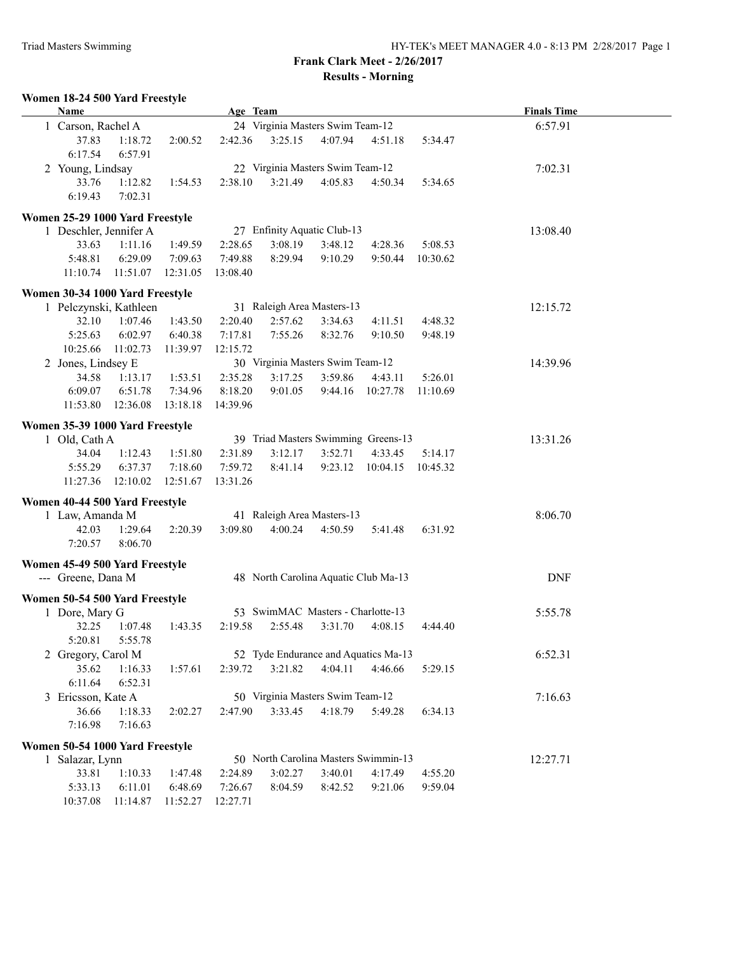**Frank Clark Meet - 2/26/2017 Results - Morning**

## **Women 18-24 500 Yard Freestyle**

|                                                                       | <b>Name</b>                     |          |          | Age Team |                                  |                                      |                                     |          | <b>Finals Time</b> |  |
|-----------------------------------------------------------------------|---------------------------------|----------|----------|----------|----------------------------------|--------------------------------------|-------------------------------------|----------|--------------------|--|
|                                                                       | 1 Carson, Rachel A              |          |          |          | 24 Virginia Masters Swim Team-12 | 6:57.91                              |                                     |          |                    |  |
|                                                                       | 37.83                           | 1:18.72  | 2:00.52  | 2:42.36  | 3:25.15                          | 4:07.94                              | 4:51.18                             | 5:34.47  |                    |  |
|                                                                       | 6:17.54                         | 6:57.91  |          |          |                                  |                                      |                                     |          |                    |  |
|                                                                       | 2 Young, Lindsay                |          |          |          |                                  | 22 Virginia Masters Swim Team-12     |                                     |          | 7:02.31            |  |
|                                                                       | 33.76<br>1:12.82<br>1:54.53     |          |          |          | 3:21.49                          | 4:05.83                              | 4:50.34                             | 5:34.65  |                    |  |
|                                                                       | 6:19.43                         | 7:02.31  |          | 2:38.10  |                                  |                                      |                                     |          |                    |  |
|                                                                       |                                 |          |          |          |                                  |                                      |                                     |          |                    |  |
|                                                                       | Women 25-29 1000 Yard Freestyle |          |          |          |                                  |                                      |                                     |          |                    |  |
|                                                                       | 1 Deschler, Jennifer A          |          |          |          |                                  | 27 Enfinity Aquatic Club-13          |                                     |          | 13:08.40           |  |
|                                                                       | 33.63                           | 1:11.16  | 1:49.59  | 2:28.65  | 3:08.19                          | 3:48.12                              | 4:28.36                             | 5:08.53  |                    |  |
|                                                                       | 5:48.81                         | 6:29.09  | 7:09.63  | 7:49.88  | 8:29.94                          | 9:10.29                              | 9:50.44                             | 10:30.62 |                    |  |
|                                                                       | 11:10.74                        | 11:51.07 | 12:31.05 | 13:08.40 |                                  |                                      |                                     |          |                    |  |
|                                                                       | Women 30-34 1000 Yard Freestyle |          |          |          |                                  |                                      |                                     |          |                    |  |
|                                                                       | 1 Pelczynski, Kathleen          |          |          |          |                                  | 31 Raleigh Area Masters-13           |                                     | 12:15.72 |                    |  |
|                                                                       | 32.10                           | 1:07.46  | 1:43.50  | 2:20.40  | 2:57.62                          | 3:34.63                              | 4:11.51                             | 4:48.32  |                    |  |
|                                                                       | 5:25.63                         | 6:02.97  | 6:40.38  | 7:17.81  | 7:55.26                          | 8:32.76                              | 9:10.50                             | 9:48.19  |                    |  |
|                                                                       | 10:25.66                        | 11:02.73 | 11:39.97 | 12:15.72 |                                  |                                      |                                     |          |                    |  |
|                                                                       | 2 Jones, Lindsey E              |          |          |          |                                  | 30 Virginia Masters Swim Team-12     |                                     | 14:39.96 |                    |  |
|                                                                       | 34.58                           | 1:13.17  | 1:53.51  | 2:35.28  | 3:17.25                          | 3:59.86                              | 4:43.11                             | 5:26.01  |                    |  |
|                                                                       | 6:09.07                         | 6:51.78  | 7:34.96  | 8:18.20  | 9:01.05                          | 9:44.16                              | 10:27.78                            | 11:10.69 |                    |  |
|                                                                       | 11:53.80                        | 12:36.08 | 13:18.18 | 14:39.96 |                                  |                                      |                                     |          |                    |  |
|                                                                       |                                 |          |          |          |                                  |                                      |                                     |          |                    |  |
| Women 35-39 1000 Yard Freestyle                                       |                                 |          |          |          |                                  |                                      |                                     |          |                    |  |
|                                                                       | 1 Old, Cath A                   |          |          |          |                                  |                                      | 39 Triad Masters Swimming Greens-13 |          | 13:31.26           |  |
|                                                                       | 34.04                           | 1:12.43  | 1:51.80  | 2:31.89  | 3:12.17                          | 3:52.71                              | 4:33.45                             | 5:14.17  |                    |  |
|                                                                       | 5:55.29                         | 6:37.37  | 7:18.60  | 7:59.72  | 8:41.14                          | 9:23.12                              | 10:04.15                            | 10:45.32 |                    |  |
|                                                                       | 11:27.36                        | 12:10.02 | 12:51.67 | 13:31.26 |                                  |                                      |                                     |          |                    |  |
| Women 40-44 500 Yard Freestyle                                        |                                 |          |          |          |                                  |                                      |                                     |          |                    |  |
| 1 Law, Amanda M                                                       |                                 |          |          |          |                                  | 41 Raleigh Area Masters-13           |                                     |          | 8:06.70            |  |
|                                                                       | 42.03                           | 1:29.64  | 2:20.39  | 3:09.80  | 4:00.24                          | 4:50.59                              | 5:41.48                             | 6:31.92  |                    |  |
|                                                                       | 7:20.57                         | 8:06.70  |          |          |                                  |                                      |                                     |          |                    |  |
|                                                                       |                                 |          |          |          |                                  |                                      |                                     |          |                    |  |
|                                                                       | Women 45-49 500 Yard Freestyle  |          |          |          |                                  |                                      |                                     |          |                    |  |
| --- Greene, Dana M                                                    |                                 |          |          |          |                                  | 48 North Carolina Aquatic Club Ma-13 | <b>DNF</b>                          |          |                    |  |
|                                                                       | Women 50-54 500 Yard Freestyle  |          |          |          |                                  |                                      |                                     |          |                    |  |
| 1 Dore, Mary G                                                        |                                 |          |          |          |                                  | 53 SwimMAC Masters - Charlotte-13    |                                     | 5:55.78  |                    |  |
|                                                                       | 32.25                           | 1:07.48  | 1:43.35  | 2:19.58  | 2:55.48                          | 3:31.70                              | 4:08.15                             | 4:44.40  |                    |  |
|                                                                       | 5:20.81                         | 5:55.78  |          |          |                                  |                                      |                                     |          |                    |  |
| 52 Tyde Endurance and Aquatics Ma-13<br>6:52.31<br>2 Gregory, Carol M |                                 |          |          |          |                                  |                                      |                                     |          |                    |  |
|                                                                       | 35.62                           | 1:16.33  | 1:57.61  | 2:39.72  | 3:21.82                          | 4:04.11                              | 4:46.66                             | 5:29.15  |                    |  |
|                                                                       | 6:11.64                         | 6:52.31  |          |          |                                  |                                      |                                     |          |                    |  |
| 50 Virginia Masters Swim Team-12<br>3 Ericsson, Kate A<br>7:16.63     |                                 |          |          |          |                                  |                                      |                                     |          |                    |  |
|                                                                       | 36.66                           | 1:18.33  | 2:02.27  | 2:47.90  | 3:33.45                          | 4:18.79                              | 5:49.28                             | 6:34.13  |                    |  |
|                                                                       | 7:16.98                         | 7:16.63  |          |          |                                  |                                      |                                     |          |                    |  |
|                                                                       |                                 |          |          |          |                                  |                                      |                                     |          |                    |  |
|                                                                       | Women 50-54 1000 Yard Freestyle |          |          |          |                                  |                                      |                                     |          |                    |  |
| 1 Salazar, Lynn                                                       |                                 |          |          |          |                                  | 50 North Carolina Masters Swimmin-13 | 12:27.71                            |          |                    |  |
|                                                                       | 33.81                           | 1:10.33  | 1:47.48  | 2:24.89  | 3:02.27                          | 3:40.01                              | 4:17.49                             | 4:55.20  |                    |  |
|                                                                       | 5:33.13                         | 6:11.01  | 6:48.69  | 7:26.67  | 8:04.59                          | 8:42.52                              | 9:21.06                             | 9:59.04  |                    |  |
|                                                                       | 10:37.08                        | 11:14.87 | 11:52.27 | 12:27.71 |                                  |                                      |                                     |          |                    |  |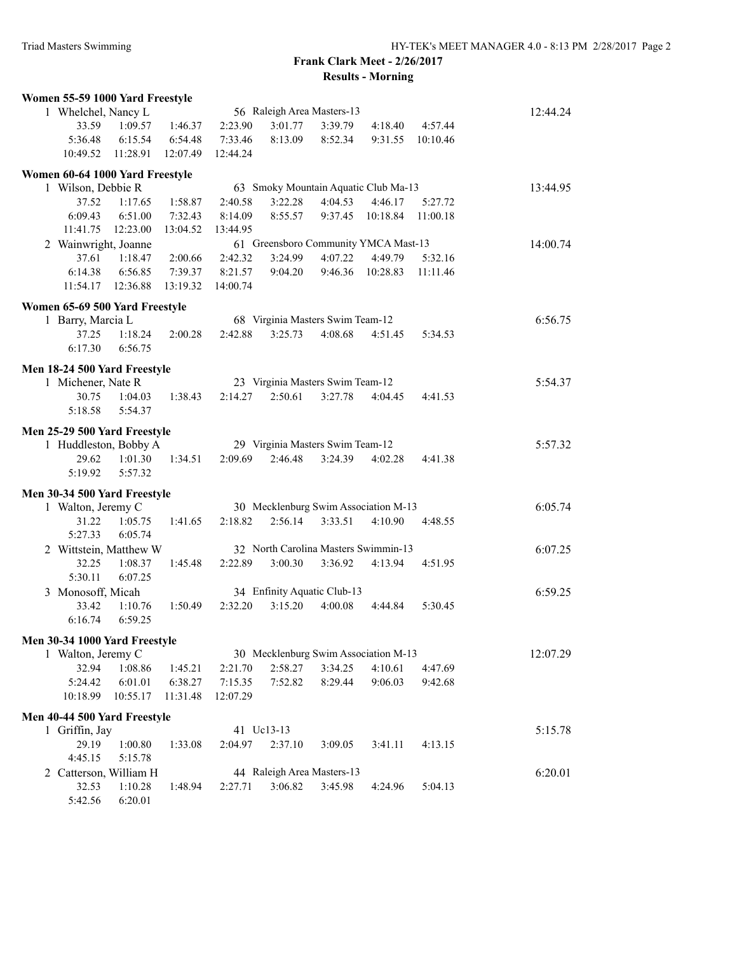## **Frank Clark Meet - 2/26/2017 Results - Morning**

|                                                                                               | Women 55-59 1000 Yard Freestyle                   |          |          |          |                                             |         |                                      |          |          |
|-----------------------------------------------------------------------------------------------|---------------------------------------------------|----------|----------|----------|---------------------------------------------|---------|--------------------------------------|----------|----------|
|                                                                                               | 56 Raleigh Area Masters-13<br>1 Whelchel, Nancy L |          |          |          |                                             |         |                                      | 12:44.24 |          |
|                                                                                               | 33.59                                             | 1:09.57  | 1:46.37  | 2:23.90  | 3:01.77                                     | 3:39.79 | 4:18.40                              | 4:57.44  |          |
|                                                                                               | 5:36.48                                           | 6:15.54  | 6:54.48  | 7:33.46  | 8:13.09                                     | 8:52.34 | 9:31.55                              | 10:10.46 |          |
|                                                                                               | 10:49.52                                          | 11:28.91 | 12:07.49 | 12:44.24 |                                             |         |                                      |          |          |
|                                                                                               |                                                   |          |          |          |                                             |         |                                      |          |          |
| Women 60-64 1000 Yard Freestyle<br>63 Smoky Mountain Aquatic Club Ma-13<br>1 Wilson, Debbie R |                                                   |          |          |          |                                             |         |                                      |          | 13:44.95 |
|                                                                                               | 37.52                                             | 1:17.65  | 1:58.87  | 2:40.58  | 3:22.28                                     | 4:04.53 | 4:46.17                              | 5:27.72  |          |
|                                                                                               | 6:09.43                                           | 6:51.00  | 7:32.43  | 8:14.09  | 8:55.57                                     | 9:37.45 | 10:18.84                             | 11:00.18 |          |
|                                                                                               | 11:41.75                                          | 12:23.00 | 13:04.52 | 13:44.95 |                                             |         |                                      |          |          |
|                                                                                               | 2 Wainwright, Joanne                              |          |          |          |                                             |         | 61 Greensboro Community YMCA Mast-13 |          | 14:00.74 |
|                                                                                               | 37.61                                             | 1:18.47  | 2:00.66  | 2:42.32  | 3:24.99                                     | 4:07.22 | 4:49.79                              | 5:32.16  |          |
|                                                                                               | 6:14.38                                           | 6:56.85  | 7:39.37  | 8:21.57  | 9:04.20                                     | 9:46.36 | 10:28.83                             | 11:11.46 |          |
|                                                                                               | 11:54.17                                          | 12:36.88 | 13:19.32 | 14:00.74 |                                             |         |                                      |          |          |
|                                                                                               |                                                   |          |          |          |                                             |         |                                      |          |          |
|                                                                                               | Women 65-69 500 Yard Freestyle                    |          |          |          |                                             |         |                                      |          |          |
|                                                                                               | 1 Barry, Marcia L                                 |          |          |          | 68 Virginia Masters Swim Team-12            |         |                                      |          | 6:56.75  |
|                                                                                               | 37.25                                             | 1:18.24  | 2:00.28  | 2:42.88  | 3:25.73                                     | 4:08.68 | 4:51.45                              | 5:34.53  |          |
|                                                                                               | 6:17.30                                           | 6:56.75  |          |          |                                             |         |                                      |          |          |
|                                                                                               | Men 18-24 500 Yard Freestyle                      |          |          |          |                                             |         |                                      |          |          |
|                                                                                               | 1 Michener, Nate R                                | 5:54.37  |          |          |                                             |         |                                      |          |          |
|                                                                                               | 30.75                                             | 1:04.03  | 1:38.43  | 2:14.27  | 23 Virginia Masters Swim Team-12<br>2:50.61 | 3:27.78 | 4:04.45                              | 4:41.53  |          |
|                                                                                               | 5:18.58                                           | 5:54.37  |          |          |                                             |         |                                      |          |          |
|                                                                                               |                                                   |          |          |          |                                             |         |                                      |          |          |
|                                                                                               | Men 25-29 500 Yard Freestyle                      |          |          |          |                                             |         |                                      |          |          |
|                                                                                               | 1 Huddleston, Bobby A                             |          |          |          | 29 Virginia Masters Swim Team-12            |         |                                      |          | 5:57.32  |
|                                                                                               | 29.62                                             | 1:01.30  | 1:34.51  | 2:09.69  | 2:46.48                                     | 3:24.39 | 4:02.28                              | 4:41.38  |          |
|                                                                                               | 5:19.92                                           | 5:57.32  |          |          |                                             |         |                                      |          |          |
|                                                                                               | Men 30-34 500 Yard Freestyle                      |          |          |          |                                             |         |                                      |          |          |
|                                                                                               | 1 Walton, Jeremy C                                |          |          |          |                                             |         | 30 Mecklenburg Swim Association M-13 |          | 6:05.74  |
|                                                                                               | 31.22                                             | 1:05.75  | 1:41.65  | 2:18.82  | 2:56.14                                     | 3:33.51 | 4:10.90                              | 4:48.55  |          |
|                                                                                               | 5:27.33                                           | 6:05.74  |          |          |                                             |         |                                      |          |          |
|                                                                                               | 2 Wittstein, Matthew W                            |          |          |          |                                             |         | 32 North Carolina Masters Swimmin-13 |          | 6:07.25  |
|                                                                                               | 32.25                                             | 1:08.37  | 1:45.48  | 2:22.89  | 3:00.30                                     | 3:36.92 | 4:13.94                              | 4:51.95  |          |
|                                                                                               | 5:30.11                                           | 6:07.25  |          |          |                                             |         |                                      |          |          |
|                                                                                               | 3 Monosoff, Micah                                 |          |          |          | 34 Enfinity Aquatic Club-13                 |         |                                      |          | 6:59.25  |
|                                                                                               | 33.42                                             | 1:10.76  | 1:50.49  | 2:32.20  | 3:15.20                                     | 4:00.08 | 4:44.84                              | 5:30.45  |          |
|                                                                                               | 6:16.74                                           | 6:59.25  |          |          |                                             |         |                                      |          |          |
|                                                                                               |                                                   |          |          |          |                                             |         |                                      |          |          |
|                                                                                               | Men 30-34 1000 Yard Freestyle                     |          |          |          |                                             |         |                                      |          |          |
|                                                                                               | 1 Walton, Jeremy C                                |          |          |          |                                             |         | 30 Mecklenburg Swim Association M-13 |          | 12:07.29 |
|                                                                                               | 32.94                                             | 1:08.86  | 1:45.21  | 2:21.70  | 2:58.27                                     | 3:34.25 | 4:10.61                              | 4:47.69  |          |
|                                                                                               | 5:24.42                                           | 6:01.01  | 6:38.27  | 7:15.35  | 7:52.82                                     | 8:29.44 | 9:06.03                              | 9:42.68  |          |
|                                                                                               | 10:18.99                                          | 10:55.17 | 11:31.48 | 12:07.29 |                                             |         |                                      |          |          |
|                                                                                               | Men 40-44 500 Yard Freestyle                      |          |          |          |                                             |         |                                      |          |          |
|                                                                                               | 1 Griffin, Jay                                    |          |          |          | 41 Uc13-13                                  |         |                                      |          | 5:15.78  |
|                                                                                               | 29.19                                             | 1:00.80  | 1:33.08  | 2:04.97  | 2:37.10                                     | 3:09.05 | 3:41.11                              | 4:13.15  |          |
|                                                                                               | 4:45.15                                           | 5:15.78  |          |          |                                             |         |                                      |          |          |
|                                                                                               | 2 Catterson, William H                            |          |          |          | 44 Raleigh Area Masters-13                  |         |                                      |          | 6:20.01  |
|                                                                                               | 32.53                                             | 1:10.28  | 1:48.94  | 2:27.71  | 3:06.82                                     | 3:45.98 | 4:24.96                              | 5:04.13  |          |
|                                                                                               | 5:42.56                                           | 6:20.01  |          |          |                                             |         |                                      |          |          |